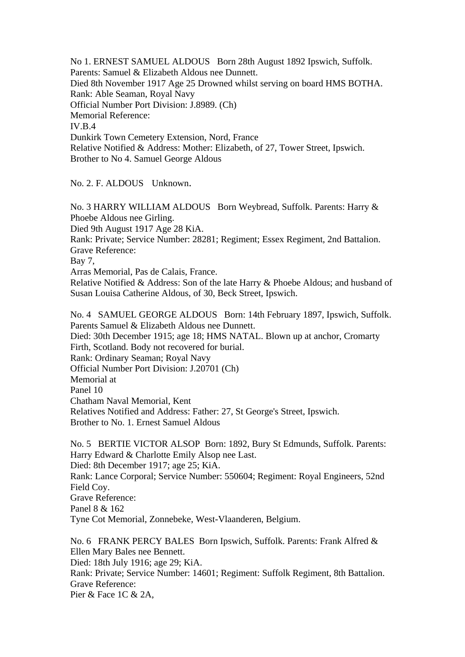No 1. ERNEST SAMUEL ALDOUS Born 28th August 1892 Ipswich, Suffolk. Parents: Samuel & Elizabeth Aldous nee Dunnett. Died 8th November 1917 Age 25 Drowned whilst serving on board HMS BOTHA. Rank: Able Seaman, Royal Navy Official Number Port Division: J.8989. (Ch) Memorial Reference: IV.B.4 Dunkirk Town Cemetery Extension, Nord, France Relative Notified & Address: Mother: Elizabeth, of 27, Tower Street, Ipswich. Brother to No 4. Samuel George Aldous

No. 2. F. ALDOUS Unknown.

No. 3 HARRY WILLIAM ALDOUS Born Weybread, Suffolk. Parents: Harry & Phoebe Aldous nee Girling. Died 9th August 1917 Age 28 KiA. Rank: Private; Service Number: 28281; Regiment; Essex Regiment, 2nd Battalion. Grave Reference: Bay 7, Arras Memorial, Pas de Calais, France. Relative Notified & Address: Son of the late Harry & Phoebe Aldous; and husband of Susan Louisa Catherine Aldous, of 30, Beck Street, Ipswich. No. 4 SAMUEL GEORGE ALDOUS Born: 14th February 1897, Ipswich, Suffolk. Parents Samuel & Elizabeth Aldous nee Dunnett. Died: 30th December 1915; age 18; HMS NATAL. Blown up at anchor, Cromarty

Firth, Scotland. Body not recovered for burial. Rank: Ordinary Seaman; Royal Navy Official Number Port Division: J.20701 (Ch) Memorial at Panel 10 Chatham Naval Memorial, Kent Relatives Notified and Address: Father: 27, St George's Street, Ipswich. Brother to No. 1. Ernest Samuel Aldous

No. 5 BERTIE VICTOR ALSOP Born: 1892, Bury St Edmunds, Suffolk. Parents: Harry Edward & Charlotte Emily Alsop nee Last. Died: 8th December 1917; age 25; KiA. Rank: Lance Corporal; Service Number: 550604; Regiment: Royal Engineers, 52nd Field Coy. Grave Reference: Panel 8 & 162 Tyne Cot Memorial, Zonnebeke, West-Vlaanderen, Belgium.

No. 6 FRANK PERCY BALES Born Ipswich, Suffolk. Parents: Frank Alfred & Ellen Mary Bales nee Bennett. Died: 18th July 1916; age 29; KiA. Rank: Private; Service Number: 14601; Regiment: Suffolk Regiment, 8th Battalion. Grave Reference: Pier & Face 1C & 2A,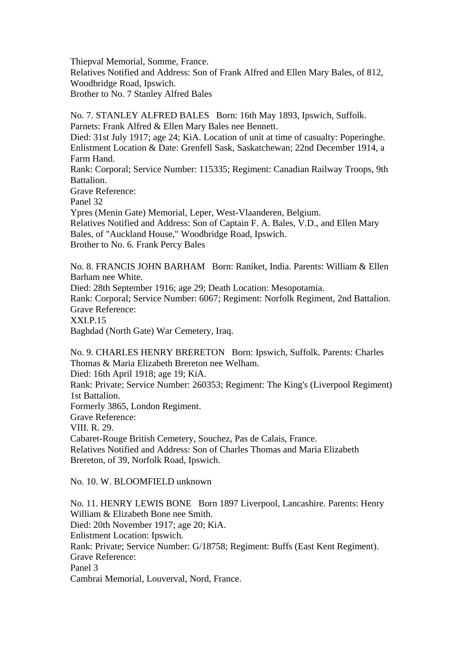Thiepval Memorial, Somme, France. Relatives Notified and Address: Son of Frank Alfred and Ellen Mary Bales, of 812, Woodbridge Road, Ipswich. Brother to No. 7 Stanley Alfred Bales

No. 7. STANLEY ALFRED BALES Born: 16th May 1893, Ipswich, Suffolk. Parnets: Frank Alfred & Ellen Mary Bales nee Bennett.

Died: 31st July 1917; age 24; KiA. Location of unit at time of casualty: Poperinghe. Enlistment Location & Date: Grenfell Sask, Saskatchewan; 22nd December 1914, a Farm Hand.

Rank: Corporal; Service Number: 115335; Regiment: Canadian Railway Troops, 9th Battalion.

Grave Reference:

Panel 32

Ypres (Menin Gate) Memorial, Leper, West-Vlaanderen, Belgium.

Relatives Notified and Address: Son of Captain F. A. Bales, V.D., and Ellen Mary Bales, of "Auckland House," Woodbridge Road, Ipswich. Brother to No. 6. Frank Percy Bales

No. 8. FRANCIS JOHN BARHAM Born: Raniket, India. Parents: William & Ellen Barham nee White.

Died: 28th September 1916; age 29; Death Location: Mesopotamia.

Rank: Corporal; Service Number: 6067; Regiment: Norfolk Regiment, 2nd Battalion. Grave Reference:

XXI.P.15

Baghdad (North Gate) War Cemetery, Iraq.

No. 9. CHARLES HENRY BRERETON Born: Ipswich, Suffolk. Parents: Charles Thomas & Maria Elizabeth Brereton nee Welham.

Died: 16th April 1918; age 19; KiA.

Rank: Private; Service Number: 260353; Regiment: The King's (Liverpool Regiment) 1st Battalion.

Formerly 3865, London Regiment.

Grave Reference:

VIII. R. 29.

Cabaret-Rouge British Cemetery, Souchez, Pas de Calais, France.

Relatives Notified and Address: Son of Charles Thomas and Maria Elizabeth Brereton, of 39, Norfolk Road, Ipswich.

No. 10. W. BLOOMFIELD unknown

No. 11. HENRY LEWIS BONE Born 1897 Liverpool, Lancashire. Parents: Henry William & Elizabeth Bone nee Smith. Died: 20th November 1917; age 20; KiA. Enlistment Location: Ipswich. Rank: Private; Service Number: G/18758; Regiment: Buffs (East Kent Regiment). Grave Reference: Panel 3 Cambrai Memorial, Louverval, Nord, France.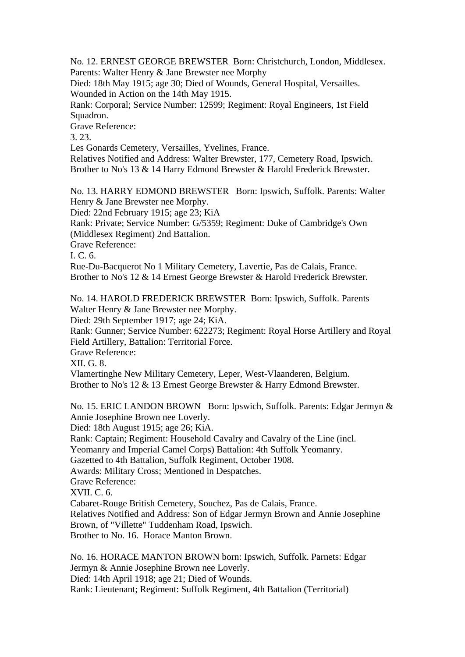No. 12. ERNEST GEORGE BREWSTER Born: Christchurch, London, Middlesex. Parents: Walter Henry & Jane Brewster nee Morphy

Died: 18th May 1915; age 30; Died of Wounds, General Hospital, Versailles. Wounded in Action on the 14th May 1915.

Rank: Corporal; Service Number: 12599; Regiment: Royal Engineers, 1st Field Squadron.

Grave Reference:

3. 23.

Les Gonards Cemetery, Versailles, Yvelines, France.

Relatives Notified and Address: Walter Brewster, 177, Cemetery Road, Ipswich. Brother to No's 13 & 14 Harry Edmond Brewster & Harold Frederick Brewster.

No. 13. HARRY EDMOND BREWSTER Born: Ipswich, Suffolk. Parents: Walter Henry & Jane Brewster nee Morphy.

Died: 22nd February 1915; age 23; KiA

Rank: Private; Service Number: G/5359; Regiment: Duke of Cambridge's Own (Middlesex Regiment) 2nd Battalion.

Grave Reference:

I. C. 6.

Rue-Du-Bacquerot No 1 Military Cemetery, Lavertie, Pas de Calais, France. Brother to No's 12 & 14 Ernest George Brewster & Harold Frederick Brewster.

No. 14. HAROLD FREDERICK BREWSTER Born: Ipswich, Suffolk. Parents Walter Henry & Jane Brewster nee Morphy.

Died: 29th September 1917; age 24; KiA.

Rank: Gunner; Service Number: 622273; Regiment: Royal Horse Artillery and Royal Field Artillery, Battalion: Territorial Force.

Grave Reference:

XII. G. 8.

Vlamertinghe New Military Cemetery, Leper, West-Vlaanderen, Belgium. Brother to No's 12 & 13 Ernest George Brewster & Harry Edmond Brewster.

No. 15. ERIC LANDON BROWN Born: Ipswich, Suffolk. Parents: Edgar Jermyn & Annie Josephine Brown nee Loverly.

Died: 18th August 1915; age 26; KiA.

Rank: Captain; Regiment: Household Cavalry and Cavalry of the Line (incl.

Yeomanry and Imperial Camel Corps) Battalion: 4th Suffolk Yeomanry.

Gazetted to 4th Battalion, Suffolk Regiment, October 1908.

Awards: Military Cross; Mentioned in Despatches.

Grave Reference:

XVII. C. 6.

Cabaret-Rouge British Cemetery, Souchez, Pas de Calais, France.

Relatives Notified and Address: Son of Edgar Jermyn Brown and Annie Josephine Brown, of "Villette" Tuddenham Road, Ipswich.

Brother to No. 16. Horace Manton Brown.

No. 16. HORACE MANTON BROWN born: Ipswich, Suffolk. Parnets: Edgar Jermyn & Annie Josephine Brown nee Loverly. Died: 14th April 1918; age 21; Died of Wounds.

Rank: Lieutenant; Regiment: Suffolk Regiment, 4th Battalion (Territorial)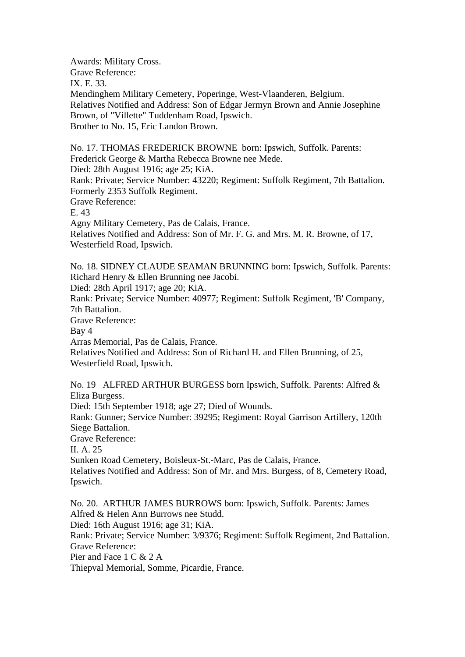Awards: Military Cross. Grave Reference: IX. E. 33. Mendinghem Military Cemetery, Poperinge, West-Vlaanderen, Belgium. Relatives Notified and Address: Son of Edgar Jermyn Brown and Annie Josephine Brown, of "Villette" Tuddenham Road, Ipswich. Brother to No. 15, Eric Landon Brown.

No. 17. THOMAS FREDERICK BROWNE born: Ipswich, Suffolk. Parents: Frederick George & Martha Rebecca Browne nee Mede. Died: 28th August 1916; age 25; KiA. Rank: Private; Service Number: 43220; Regiment: Suffolk Regiment, 7th Battalion. Formerly 2353 Suffolk Regiment. Grave Reference: E. 43 Agny Military Cemetery, Pas de Calais, France. Relatives Notified and Address: Son of Mr. F. G. and Mrs. M. R. Browne, of 17, Westerfield Road, Ipswich.

No. 18. SIDNEY CLAUDE SEAMAN BRUNNING born: Ipswich, Suffolk. Parents: Richard Henry & Ellen Brunning nee Jacobi.

Died: 28th April 1917; age 20; KiA.

Rank: Private; Service Number: 40977; Regiment: Suffolk Regiment, 'B' Company, 7th Battalion.

Grave Reference:

Bay 4

Arras Memorial, Pas de Calais, France.

Relatives Notified and Address: Son of Richard H. and Ellen Brunning, of 25, Westerfield Road, Ipswich.

No. 19 ALFRED ARTHUR BURGESS born Ipswich, Suffolk. Parents: Alfred & Eliza Burgess.

Died: 15th September 1918; age 27; Died of Wounds.

Rank: Gunner; Service Number: 39295; Regiment: Royal Garrison Artillery, 120th Siege Battalion.

Grave Reference:

II. A. 25

Sunken Road Cemetery, Boisleux-St.-Marc, Pas de Calais, France.

Relatives Notified and Address: Son of Mr. and Mrs. Burgess, of 8, Cemetery Road, Ipswich.

No. 20. ARTHUR JAMES BURROWS born: Ipswich, Suffolk. Parents: James Alfred & Helen Ann Burrows nee Studd.

Died: 16th August 1916; age 31; KiA.

Rank: Private; Service Number: 3/9376; Regiment: Suffolk Regiment, 2nd Battalion. Grave Reference:

Pier and Face 1 C & 2 A

Thiepval Memorial, Somme, Picardie, France.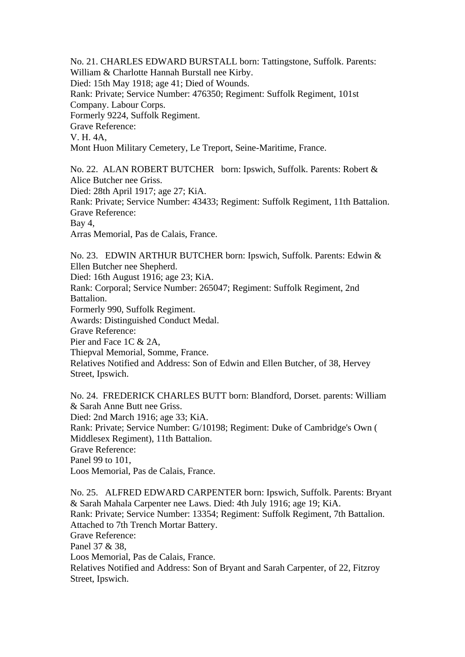No. 21. CHARLES EDWARD BURSTALL born: Tattingstone, Suffolk. Parents: William & Charlotte Hannah Burstall nee Kirby. Died: 15th May 1918; age 41; Died of Wounds. Rank: Private; Service Number: 476350; Regiment: Suffolk Regiment, 101st Company. Labour Corps. Formerly 9224, Suffolk Regiment. Grave Reference: V. H. 4A, Mont Huon Military Cemetery, Le Treport, Seine-Maritime, France.

No. 22. ALAN ROBERT BUTCHER born: Ipswich, Suffolk. Parents: Robert & Alice Butcher nee Griss. Died: 28th April 1917; age 27; KiA. Rank: Private; Service Number: 43433; Regiment: Suffolk Regiment, 11th Battalion. Grave Reference: Bay 4, Arras Memorial, Pas de Calais, France.

No. 23. EDWIN ARTHUR BUTCHER born: Ipswich, Suffolk. Parents: Edwin & Ellen Butcher nee Shepherd.

Died: 16th August 1916; age 23; KiA.

Rank: Corporal; Service Number: 265047; Regiment: Suffolk Regiment, 2nd Battalion.

Formerly 990, Suffolk Regiment.

Awards: Distinguished Conduct Medal.

Grave Reference:

Pier and Face 1C & 2A.

Thiepval Memorial, Somme, France.

Relatives Notified and Address: Son of Edwin and Ellen Butcher, of 38, Hervey Street, Ipswich.

No. 24. FREDERICK CHARLES BUTT born: Blandford, Dorset. parents: William & Sarah Anne Butt nee Griss. Died: 2nd March 1916; age 33; KiA. Rank: Private; Service Number: G/10198; Regiment: Duke of Cambridge's Own ( Middlesex Regiment), 11th Battalion. Grave Reference: Panel 99 to 101, Loos Memorial, Pas de Calais, France.

No. 25. ALFRED EDWARD CARPENTER born: Ipswich, Suffolk. Parents: Bryant & Sarah Mahala Carpenter nee Laws. Died: 4th July 1916; age 19; KiA. Rank: Private; Service Number: 13354; Regiment: Suffolk Regiment, 7th Battalion. Attached to 7th Trench Mortar Battery. Grave Reference: Panel 37 & 38, Loos Memorial, Pas de Calais, France. Relatives Notified and Address: Son of Bryant and Sarah Carpenter, of 22, Fitzroy Street, Ipswich.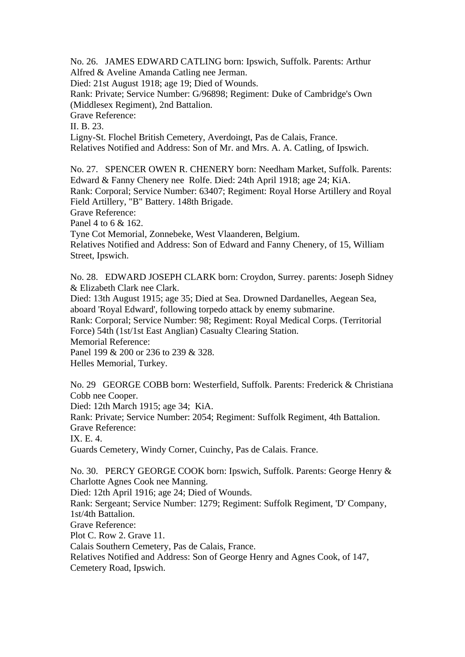No. 26. JAMES EDWARD CATLING born: Ipswich, Suffolk. Parents: Arthur Alfred & Aveline Amanda Catling nee Jerman.

Died: 21st August 1918; age 19; Died of Wounds.

Rank: Private; Service Number: G/96898; Regiment: Duke of Cambridge's Own (Middlesex Regiment), 2nd Battalion.

Grave Reference:

II. B. 23.

Ligny-St. Flochel British Cemetery, Averdoingt, Pas de Calais, France.

Relatives Notified and Address: Son of Mr. and Mrs. A. A. Catling, of Ipswich.

No. 27. SPENCER OWEN R. CHENERY born: Needham Market, Suffolk. Parents: Edward & Fanny Chenery nee Rolfe. Died: 24th April 1918; age 24; KiA. Rank: Corporal; Service Number: 63407; Regiment: Royal Horse Artillery and Royal Field Artillery, "B" Battery. 148th Brigade.

Grave Reference:

Panel 4 to 6 & 162.

Tyne Cot Memorial, Zonnebeke, West Vlaanderen, Belgium.

Relatives Notified and Address: Son of Edward and Fanny Chenery, of 15, William Street, Ipswich.

No. 28. EDWARD JOSEPH CLARK born: Croydon, Surrey. parents: Joseph Sidney & Elizabeth Clark nee Clark.

Died: 13th August 1915; age 35; Died at Sea. Drowned Dardanelles, Aegean Sea, aboard 'Royal Edward', following torpedo attack by enemy submarine.

Rank: Corporal; Service Number: 98; Regiment: Royal Medical Corps. (Territorial Force) 54th (1st/1st East Anglian) Casualty Clearing Station.

Memorial Reference:

Panel 199 & 200 or 236 to 239 & 328.

Helles Memorial, Turkey.

No. 29 GEORGE COBB born: Westerfield, Suffolk. Parents: Frederick & Christiana Cobb nee Cooper.

Died: 12th March 1915; age 34; KiA.

Rank: Private; Service Number: 2054; Regiment: Suffolk Regiment, 4th Battalion. Grave Reference:

IX. E. 4.

Guards Cemetery, Windy Corner, Cuinchy, Pas de Calais. France.

No. 30. PERCY GEORGE COOK born: Ipswich, Suffolk. Parents: George Henry & Charlotte Agnes Cook nee Manning.

Died: 12th April 1916; age 24; Died of Wounds.

Rank: Sergeant; Service Number: 1279; Regiment: Suffolk Regiment, 'D' Company, 1st/4th Battalion.

Grave Reference:

Plot C. Row 2. Grave 11.

Calais Southern Cemetery, Pas de Calais, France.

Relatives Notified and Address: Son of George Henry and Agnes Cook, of 147,

Cemetery Road, Ipswich.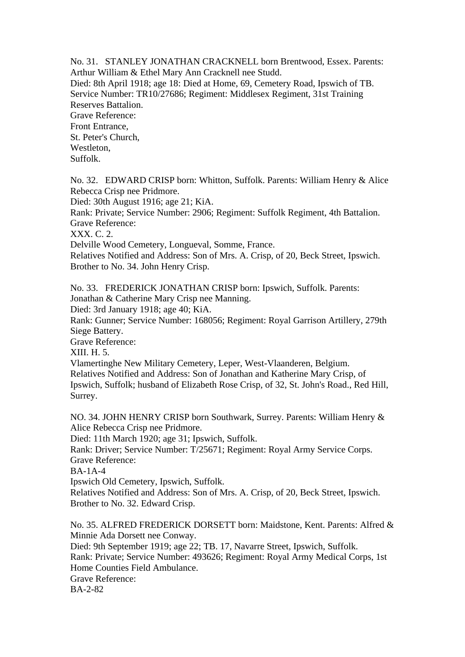No. 31. STANLEY JONATHAN CRACKNELL born Brentwood, Essex. Parents: Arthur William & Ethel Mary Ann Cracknell nee Studd.

Died: 8th April 1918; age 18: Died at Home, 69, Cemetery Road, Ipswich of TB. Service Number: TR10/27686; Regiment: Middlesex Regiment, 31st Training Reserves Battalion.

Grave Reference: Front Entrance, St. Peter's Church, Westleton,

Suffolk.

No. 32. EDWARD CRISP born: Whitton, Suffolk. Parents: William Henry & Alice Rebecca Crisp nee Pridmore.

Died: 30th August 1916; age 21; KiA.

Rank: Private; Service Number: 2906; Regiment: Suffolk Regiment, 4th Battalion. Grave Reference:

XXX. C. 2.

Delville Wood Cemetery, Longueval, Somme, France.

Relatives Notified and Address: Son of Mrs. A. Crisp, of 20, Beck Street, Ipswich. Brother to No. 34. John Henry Crisp.

No. 33. FREDERICK JONATHAN CRISP born: Ipswich, Suffolk. Parents: Jonathan & Catherine Mary Crisp nee Manning.

Died: 3rd January 1918; age 40; KiA.

Rank: Gunner; Service Number: 168056; Regiment: Royal Garrison Artillery, 279th Siege Battery.

Grave Reference:

XIII. H. 5.

Vlamertinghe New Military Cemetery, Leper, West-Vlaanderen, Belgium. Relatives Notified and Address: Son of Jonathan and Katherine Mary Crisp, of Ipswich, Suffolk; husband of Elizabeth Rose Crisp, of 32, St. John's Road., Red Hill, Surrey.

NO. 34. JOHN HENRY CRISP born Southwark, Surrey. Parents: William Henry & Alice Rebecca Crisp nee Pridmore.

Died: 11th March 1920; age 31; Ipswich, Suffolk.

Rank: Driver; Service Number: T/25671; Regiment: Royal Army Service Corps. Grave Reference:

BA-1A-4

Ipswich Old Cemetery, Ipswich, Suffolk.

Relatives Notified and Address: Son of Mrs. A. Crisp, of 20, Beck Street, Ipswich. Brother to No. 32. Edward Crisp.

No. 35. ALFRED FREDERICK DORSETT born: Maidstone, Kent. Parents: Alfred & Minnie Ada Dorsett nee Conway. Died: 9th September 1919; age 22; TB. 17, Navarre Street, Ipswich, Suffolk.

Rank: Private; Service Number: 493626; Regiment: Royal Army Medical Corps, 1st Home Counties Field Ambulance.

Grave Reference:

BA-2-82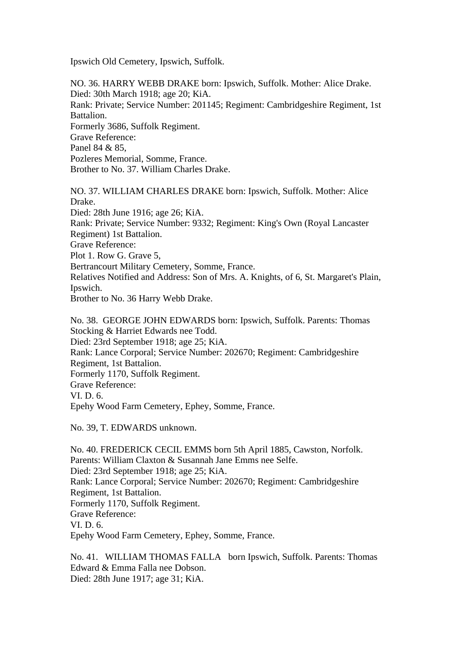Ipswich Old Cemetery, Ipswich, Suffolk.

NO. 36. HARRY WEBB DRAKE born: Ipswich, Suffolk. Mother: Alice Drake. Died: 30th March 1918; age 20; KiA. Rank: Private; Service Number: 201145; Regiment: Cambridgeshire Regiment, 1st Battalion. Formerly 3686, Suffolk Regiment. Grave Reference: Panel 84 & 85, Pozleres Memorial, Somme, France. Brother to No. 37. William Charles Drake.

NO. 37. WILLIAM CHARLES DRAKE born: Ipswich, Suffolk. Mother: Alice Drake. Died: 28th June 1916; age 26; KiA. Rank: Private; Service Number: 9332; Regiment: King's Own (Royal Lancaster Regiment) 1st Battalion. Grave Reference: Plot 1. Row G. Grave 5, Bertrancourt Military Cemetery, Somme, France. Relatives Notified and Address: Son of Mrs. A. Knights, of 6, St. Margaret's Plain, Ipswich. Brother to No. 36 Harry Webb Drake.

No. 38. GEORGE JOHN EDWARDS born: Ipswich, Suffolk. Parents: Thomas Stocking & Harriet Edwards nee Todd. Died: 23rd September 1918; age 25; KiA. Rank: Lance Corporal; Service Number: 202670; Regiment: Cambridgeshire Regiment, 1st Battalion. Formerly 1170, Suffolk Regiment. Grave Reference: VI. D. 6. Epehy Wood Farm Cemetery, Ephey, Somme, France.

No. 39, T. EDWARDS unknown.

No. 40. FREDERICK CECIL EMMS born 5th April 1885, Cawston, Norfolk. Parents: William Claxton & Susannah Jane Emms nee Selfe. Died: 23rd September 1918; age 25; KiA. Rank: Lance Corporal; Service Number: 202670; Regiment: Cambridgeshire Regiment, 1st Battalion. Formerly 1170, Suffolk Regiment. Grave Reference: VI. D. 6. Epehy Wood Farm Cemetery, Ephey, Somme, France.

No. 41. WILLIAM THOMAS FALLA born Ipswich, Suffolk. Parents: Thomas Edward & Emma Falla nee Dobson. Died: 28th June 1917; age 31; KiA.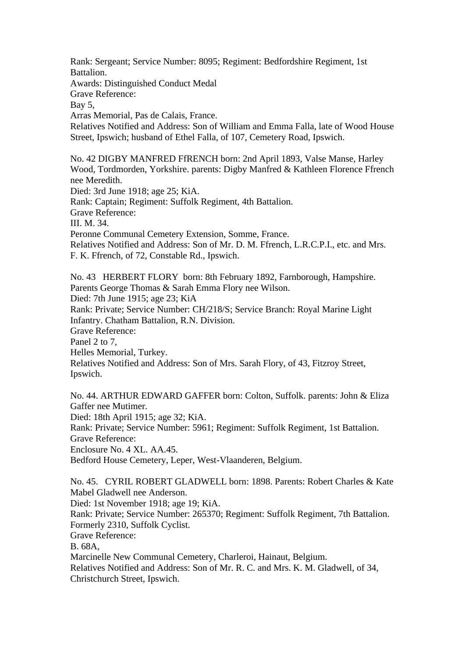Rank: Sergeant; Service Number: 8095; Regiment: Bedfordshire Regiment, 1st Battalion. Awards: Distinguished Conduct Medal Grave Reference: Bay 5, Arras Memorial, Pas de Calais, France. Relatives Notified and Address: Son of William and Emma Falla, late of Wood House Street, Ipswich; husband of Ethel Falla, of 107, Cemetery Road, Ipswich. No. 42 DIGBY MANFRED FfRENCH born: 2nd April 1893, Valse Manse, Harley Wood, Tordmorden, Yorkshire. parents: Digby Manfred & Kathleen Florence Ffrench nee Meredith. Died: 3rd June 1918; age 25; KiA. Rank: Captain; Regiment: Suffolk Regiment, 4th Battalion. Grave Reference: III. M. 34. Peronne Communal Cemetery Extension, Somme, France. Relatives Notified and Address: Son of Mr. D. M. Ffrench, L.R.C.P.I., etc. and Mrs. F. K. Ffrench, of 72, Constable Rd., Ipswich.

No. 43 HERBERT FLORY born: 8th February 1892, Farnborough, Hampshire. Parents George Thomas & Sarah Emma Flory nee Wilson. Died: 7th June 1915; age 23; KiA Rank: Private; Service Number: CH/218/S; Service Branch: Royal Marine Light Infantry. Chatham Battalion, R.N. Division. Grave Reference: Panel 2 to 7, Helles Memorial, Turkey. Relatives Notified and Address: Son of Mrs. Sarah Flory, of 43, Fitzroy Street, Ipswich.

No. 44. ARTHUR EDWARD GAFFER born: Colton, Suffolk. parents: John & Eliza Gaffer nee Mutimer.

Died: 18th April 1915; age 32; KiA.

Rank: Private; Service Number: 5961; Regiment: Suffolk Regiment, 1st Battalion. Grave Reference: Enclosure No. 4 XL. AA.45.

Bedford House Cemetery, Leper, West-Vlaanderen, Belgium.

No. 45. CYRIL ROBERT GLADWELL born: 1898. Parents: Robert Charles & Kate Mabel Gladwell nee Anderson.

Died: 1st November 1918; age 19; KiA.

Rank: Private; Service Number: 265370; Regiment: Suffolk Regiment, 7th Battalion. Formerly 2310, Suffolk Cyclist.

Grave Reference:

B. 68A,

Marcinelle New Communal Cemetery, Charleroi, Hainaut, Belgium.

Relatives Notified and Address: Son of Mr. R. C. and Mrs. K. M. Gladwell, of 34, Christchurch Street, Ipswich.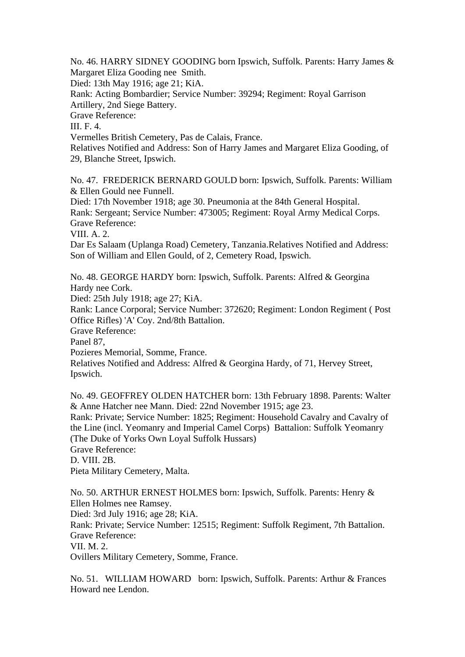No. 46. HARRY SIDNEY GOODING born Ipswich, Suffolk. Parents: Harry James & Margaret Eliza Gooding nee Smith.

Died: 13th May 1916; age 21; KiA.

Rank: Acting Bombardier; Service Number: 39294; Regiment: Royal Garrison Artillery, 2nd Siege Battery.

Grave Reference:

III. F. 4.

Vermelles British Cemetery, Pas de Calais, France.

Relatives Notified and Address: Son of Harry James and Margaret Eliza Gooding, of 29, Blanche Street, Ipswich.

No. 47. FREDERICK BERNARD GOULD born: Ipswich, Suffolk. Parents: William & Ellen Gould nee Funnell.

Died: 17th November 1918; age 30. Pneumonia at the 84th General Hospital. Rank: Sergeant; Service Number: 473005; Regiment: Royal Army Medical Corps. Grave Reference:

VIII. A. 2.

Dar Es Salaam (Uplanga Road) Cemetery, Tanzania.Relatives Notified and Address: Son of William and Ellen Gould, of 2, Cemetery Road, Ipswich.

No. 48. GEORGE HARDY born: Ipswich, Suffolk. Parents: Alfred & Georgina Hardy nee Cork.

Died: 25th July 1918; age 27; KiA.

Rank: Lance Corporal; Service Number: 372620; Regiment: London Regiment ( Post Office Rifles) 'A' Coy. 2nd/8th Battalion.

Grave Reference:

Panel 87,

Pozieres Memorial, Somme, France.

Relatives Notified and Address: Alfred & Georgina Hardy, of 71, Hervey Street, Ipswich.

No. 49. GEOFFREY OLDEN HATCHER born: 13th February 1898. Parents: Walter & Anne Hatcher nee Mann. Died: 22nd November 1915; age 23.

Rank: Private; Service Number: 1825; Regiment: Household Cavalry and Cavalry of the Line (incl. Yeomanry and Imperial Camel Corps) Battalion: Suffolk Yeomanry (The Duke of Yorks Own Loyal Suffolk Hussars)

Grave Reference:

D. VIII. 2B.

Pieta Military Cemetery, Malta.

No. 50. ARTHUR ERNEST HOLMES born: Ipswich, Suffolk. Parents: Henry & Ellen Holmes nee Ramsey.

Died: 3rd July 1916; age 28; KiA.

Rank: Private; Service Number: 12515; Regiment: Suffolk Regiment, 7th Battalion. Grave Reference:

VII. M. 2.

Ovillers Military Cemetery, Somme, France.

No. 51. WILLIAM HOWARD born: Ipswich, Suffolk. Parents: Arthur & Frances Howard nee Lendon.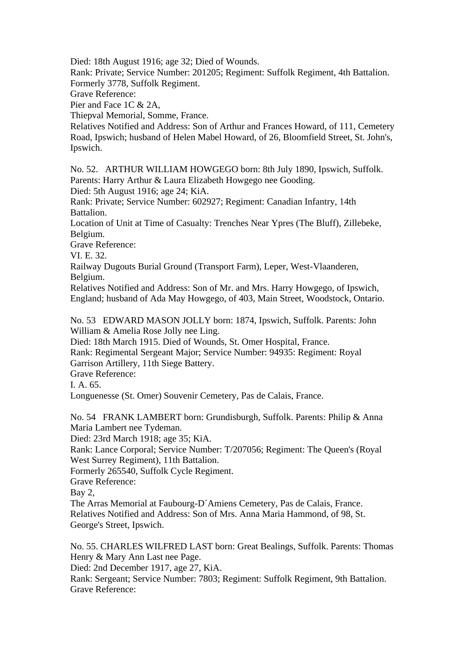Died: 18th August 1916; age 32; Died of Wounds.

Rank: Private; Service Number: 201205; Regiment: Suffolk Regiment, 4th Battalion. Formerly 3778, Suffolk Regiment.

Grave Reference:

Pier and Face 1C & 2A,

Thiepval Memorial, Somme, France.

Relatives Notified and Address: Son of Arthur and Frances Howard, of 111, Cemetery Road, Ipswich; husband of Helen Mabel Howard, of 26, Bloomfield Street, St. John's, Ipswich.

No. 52. ARTHUR WILLIAM HOWGEGO born: 8th July 1890, Ipswich, Suffolk. Parents: Harry Arthur & Laura Elizabeth Howgego nee Gooding.

Died: 5th August 1916; age 24; KiA.

Rank: Private; Service Number: 602927; Regiment: Canadian Infantry, 14th Battalion.

Location of Unit at Time of Casualty: Trenches Near Ypres (The Bluff), Zillebeke, Belgium.

Grave Reference:

VI. E. 32.

Railway Dugouts Burial Ground (Transport Farm), Leper, West-Vlaanderen, Belgium.

Relatives Notified and Address: Son of Mr. and Mrs. Harry Howgego, of Ipswich, England; husband of Ada May Howgego, of 403, Main Street, Woodstock, Ontario.

No. 53 EDWARD MASON JOLLY born: 1874, Ipswich, Suffolk. Parents: John William & Amelia Rose Jolly nee Ling.

Died: 18th March 1915. Died of Wounds, St. Omer Hospital, France.

Rank: Regimental Sergeant Major; Service Number: 94935: Regiment: Royal Garrison Artillery, 11th Siege Battery.

Grave Reference:

I. A. 65.

Longuenesse (St. Omer) Souvenir Cemetery, Pas de Calais, France.

No. 54 FRANK LAMBERT born: Grundisburgh, Suffolk. Parents: Philip & Anna Maria Lambert nee Tydeman.

Died: 23rd March 1918; age 35; KiA.

Rank: Lance Corporal; Service Number: T/207056; Regiment: The Queen's (Royal West Surrey Regiment), 11th Battalion.

Formerly 265540, Suffolk Cycle Regiment.

Grave Reference:

Bay 2,

The Arras Memorial at Faubourg-D´Amiens Cemetery, Pas de Calais, France. Relatives Notified and Address: Son of Mrs. Anna Maria Hammond, of 98, St. George's Street, Ipswich.

No. 55. CHARLES WILFRED LAST born: Great Bealings, Suffolk. Parents: Thomas Henry & Mary Ann Last nee Page.

Died: 2nd December 1917, age 27, KiA.

Rank: Sergeant; Service Number: 7803; Regiment: Suffolk Regiment, 9th Battalion. Grave Reference: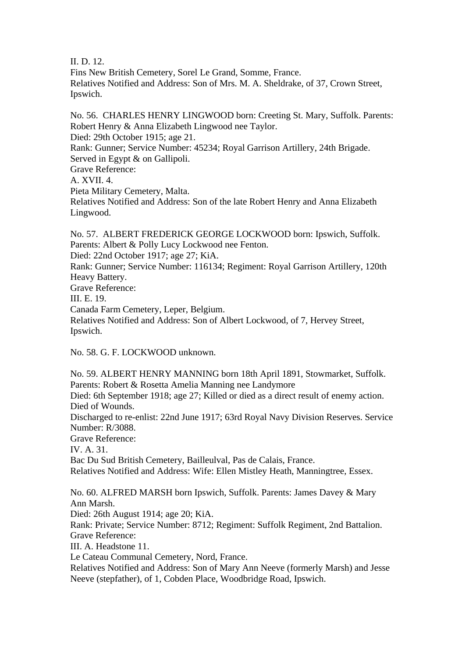II. D. 12.

Fins New British Cemetery, Sorel Le Grand, Somme, France. Relatives Notified and Address: Son of Mrs. M. A. Sheldrake, of 37, Crown Street, Ipswich.

No. 56. CHARLES HENRY LINGWOOD born: Creeting St. Mary, Suffolk. Parents: Robert Henry & Anna Elizabeth Lingwood nee Taylor. Died: 29th October 1915; age 21. Rank: Gunner; Service Number: 45234; Royal Garrison Artillery, 24th Brigade. Served in Egypt & on Gallipoli. Grave Reference: A. XVII. 4. Pieta Military Cemetery, Malta.

Relatives Notified and Address: Son of the late Robert Henry and Anna Elizabeth Lingwood.

No. 57. ALBERT FREDERICK GEORGE LOCKWOOD born: Ipswich, Suffolk. Parents: Albert & Polly Lucy Lockwood nee Fenton. Died: 22nd October 1917; age 27; KiA.

Rank: Gunner; Service Number: 116134; Regiment: Royal Garrison Artillery, 120th Heavy Battery.

Grave Reference:

III. E. 19.

Canada Farm Cemetery, Leper, Belgium.

Relatives Notified and Address: Son of Albert Lockwood, of 7, Hervey Street, Ipswich.

No. 58. G. F. LOCKWOOD unknown.

No. 59. ALBERT HENRY MANNING born 18th April 1891, Stowmarket, Suffolk. Parents: Robert & Rosetta Amelia Manning nee Landymore Died: 6th September 1918; age 27; Killed or died as a direct result of enemy action. Died of Wounds. Discharged to re-enlist: 22nd June 1917; 63rd Royal Navy Division Reserves. Service Number: R/3088. Grave Reference: IV. A. 31. Bac Du Sud British Cemetery, Bailleulval, Pas de Calais, France. Relatives Notified and Address: Wife: Ellen Mistley Heath, Manningtree, Essex. No. 60. ALFRED MARSH born Ipswich, Suffolk. Parents: James Davey & Mary Ann Marsh. Died: 26th August 1914; age 20; KiA. Rank: Private; Service Number: 8712; Regiment: Suffolk Regiment, 2nd Battalion.

Grave Reference:

III. A. Headstone 11.

Le Cateau Communal Cemetery, Nord, France.

Relatives Notified and Address: Son of Mary Ann Neeve (formerly Marsh) and Jesse Neeve (stepfather), of 1, Cobden Place, Woodbridge Road, Ipswich.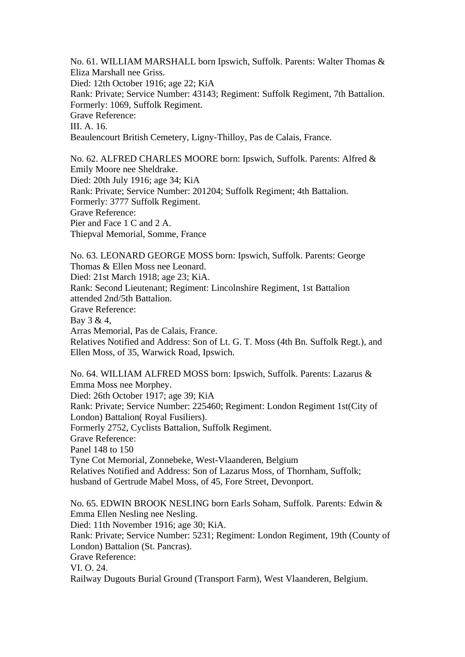No. 61. WILLIAM MARSHALL born Ipswich, Suffolk. Parents: Walter Thomas & Eliza Marshall nee Griss. Died: 12th October 1916; age 22; KiA Rank: Private; Service Number: 43143; Regiment: Suffolk Regiment, 7th Battalion. Formerly: 1069, Suffolk Regiment. Grave Reference: III. A. 16. Beaulencourt British Cemetery, Ligny-Thilloy, Pas de Calais, France.

No. 62. ALFRED CHARLES MOORE born: Ipswich, Suffolk. Parents: Alfred & Emily Moore nee Sheldrake. Died: 20th July 1916; age 34; KiA Rank: Private; Service Number: 201204; Suffolk Regiment; 4th Battalion. Formerly: 3777 Suffolk Regiment. Grave Reference: Pier and Face 1 C and 2 A. Thiepval Memorial, Somme, France

No. 63. LEONARD GEORGE MOSS born: Ipswich, Suffolk. Parents: George Thomas & Ellen Moss nee Leonard. Died: 21st March 1918; age 23; KiA. Rank: Second Lieutenant; Regiment: Lincolnshire Regiment, 1st Battalion attended 2nd/5th Battalion. Grave Reference: Bay 3 & 4, Arras Memorial, Pas de Calais, France. Relatives Notified and Address: Son of Lt. G. T. Moss (4th Bn. Suffolk Regt.), and Ellen Moss, of 35, Warwick Road, Ipswich.

No. 64. WILLIAM ALFRED MOSS born: Ipswich, Suffolk. Parents: Lazarus & Emma Moss nee Morphey. Died: 26th October 1917; age 39; KiA Rank: Private; Service Number: 225460; Regiment: London Regiment 1st(City of London) Battalion( Royal Fusiliers). Formerly 2752, Cyclists Battalion, Suffolk Regiment. Grave Reference: Panel 148 to 150 Tyne Cot Memorial, Zonnebeke, West-Vlaanderen, Belgium Relatives Notified and Address: Son of Lazarus Moss, of Thornham, Suffolk; husband of Gertrude Mabel Moss, of 45, Fore Street, Devonport.

No. 65. EDWIN BROOK NESLING born Earls Soham, Suffolk. Parents: Edwin & Emma Ellen Nesling nee Nesling. Died: 11th November 1916; age 30; KiA. Rank: Private; Service Number: 5231; Regiment: London Regiment, 19th (County of London) Battalion (St. Pancras). Grave Reference: VI. O. 24. Railway Dugouts Burial Ground (Transport Farm), West Vlaanderen, Belgium.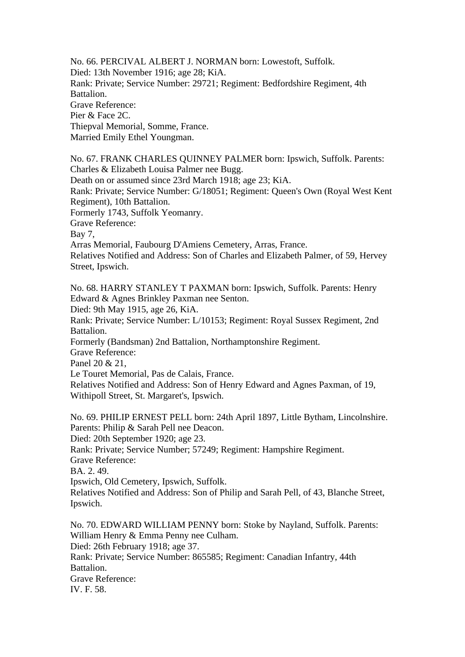No. 66. PERCIVAL ALBERT J. NORMAN born: Lowestoft, Suffolk. Died: 13th November 1916; age 28; KiA. Rank: Private; Service Number: 29721; Regiment: Bedfordshire Regiment, 4th Battalion. Grave Reference: Pier & Face 2C. Thiepval Memorial, Somme, France. Married Emily Ethel Youngman.

No. 67. FRANK CHARLES QUINNEY PALMER born: Ipswich, Suffolk. Parents: Charles & Elizabeth Louisa Palmer nee Bugg. Death on or assumed since 23rd March 1918; age 23; KiA. Rank: Private; Service Number: G/18051; Regiment: Queen's Own (Royal West Kent Regiment), 10th Battalion. Formerly 1743, Suffolk Yeomanry. Grave Reference: Bay 7, Arras Memorial, Faubourg D'Amiens Cemetery, Arras, France. Relatives Notified and Address: Son of Charles and Elizabeth Palmer, of 59, Hervey Street, Ipswich.

No. 68. HARRY STANLEY T PAXMAN born: Ipswich, Suffolk. Parents: Henry Edward & Agnes Brinkley Paxman nee Senton.

Died: 9th May 1915, age 26, KiA.

Rank: Private; Service Number: L/10153; Regiment: Royal Sussex Regiment, 2nd Battalion.

Formerly (Bandsman) 2nd Battalion, Northamptonshire Regiment.

Grave Reference:

Panel 20 & 21,

Le Touret Memorial, Pas de Calais, France.

Relatives Notified and Address: Son of Henry Edward and Agnes Paxman, of 19, Withipoll Street, St. Margaret's, Ipswich.

No. 69. PHILIP ERNEST PELL born: 24th April 1897, Little Bytham, Lincolnshire. Parents: Philip & Sarah Pell nee Deacon.

Died: 20th September 1920; age 23.

Rank: Private; Service Number; 57249; Regiment: Hampshire Regiment.

Grave Reference:

BA. 2. 49.

Ipswich, Old Cemetery, Ipswich, Suffolk.

Relatives Notified and Address: Son of Philip and Sarah Pell, of 43, Blanche Street, Ipswich.

No. 70. EDWARD WILLIAM PENNY born: Stoke by Nayland, Suffolk. Parents: William Henry & Emma Penny nee Culham. Died: 26th February 1918; age 37. Rank: Private; Service Number: 865585; Regiment: Canadian Infantry, 44th Battalion. Grave Reference: IV. F. 58.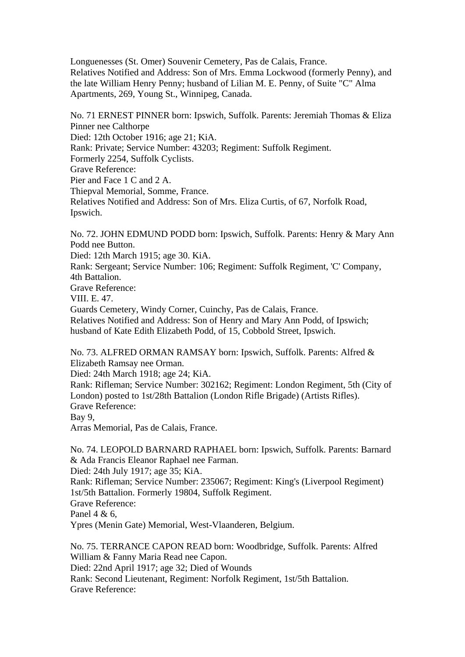Longuenesses (St. Omer) Souvenir Cemetery, Pas de Calais, France. Relatives Notified and Address: Son of Mrs. Emma Lockwood (formerly Penny), and the late William Henry Penny; husband of Lilian M. E. Penny, of Suite "C" Alma Apartments, 269, Young St., Winnipeg, Canada.

No. 71 ERNEST PINNER born: Ipswich, Suffolk. Parents: Jeremiah Thomas & Eliza Pinner nee Calthorpe Died: 12th October 1916; age 21; KiA. Rank: Private; Service Number: 43203; Regiment: Suffolk Regiment. Formerly 2254, Suffolk Cyclists. Grave Reference: Pier and Face 1 C and 2 A. Thiepval Memorial, Somme, France. Relatives Notified and Address: Son of Mrs. Eliza Curtis, of 67, Norfolk Road, Ipswich.

No. 72. JOHN EDMUND PODD born: Ipswich, Suffolk. Parents: Henry & Mary Ann Podd nee Button.

Died: 12th March 1915; age 30. KiA.

Rank: Sergeant; Service Number: 106; Regiment: Suffolk Regiment, 'C' Company, 4th Battalion. Grave Reference:

VIII. E. 47.

Guards Cemetery, Windy Corner, Cuinchy, Pas de Calais, France.

Relatives Notified and Address: Son of Henry and Mary Ann Podd, of Ipswich; husband of Kate Edith Elizabeth Podd, of 15, Cobbold Street, Ipswich.

No. 73. ALFRED ORMAN RAMSAY born: Ipswich, Suffolk. Parents: Alfred & Elizabeth Ramsay nee Orman.

Died: 24th March 1918; age 24; KiA.

Rank: Rifleman; Service Number: 302162; Regiment: London Regiment, 5th (City of London) posted to 1st/28th Battalion (London Rifle Brigade) (Artists Rifles). Grave Reference: Bay 9,

Arras Memorial, Pas de Calais, France.

No. 74. LEOPOLD BARNARD RAPHAEL born: Ipswich, Suffolk. Parents: Barnard & Ada Francis Eleanor Raphael nee Farman.

Died: 24th July 1917; age 35; KiA.

Rank: Rifleman; Service Number: 235067; Regiment: King's (Liverpool Regiment) 1st/5th Battalion. Formerly 19804, Suffolk Regiment. Grave Reference:

Panel 4 & 6,

Ypres (Menin Gate) Memorial, West-Vlaanderen, Belgium.

No. 75. TERRANCE CAPON READ born: Woodbridge, Suffolk. Parents: Alfred William & Fanny Maria Read nee Capon. Died: 22nd April 1917; age 32; Died of Wounds Rank: Second Lieutenant, Regiment: Norfolk Regiment, 1st/5th Battalion. Grave Reference: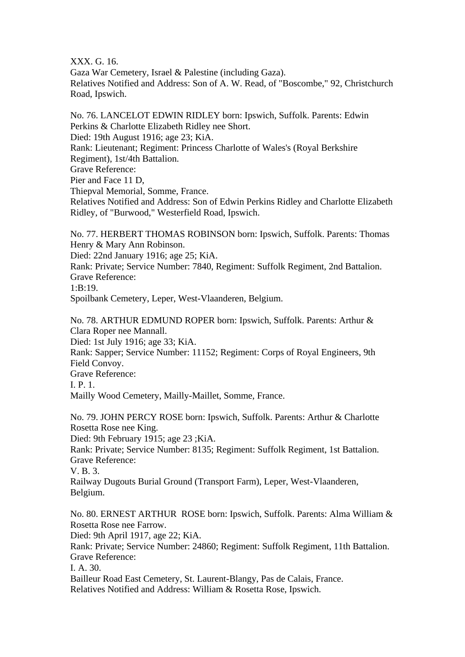XXX. G. 16.

Gaza War Cemetery, Israel & Palestine (including Gaza). Relatives Notified and Address: Son of A. W. Read, of "Boscombe," 92, Christchurch Road, Ipswich.

No. 76. LANCELOT EDWIN RIDLEY born: Ipswich, Suffolk. Parents: Edwin Perkins & Charlotte Elizabeth Ridley nee Short. Died: 19th August 1916; age 23; KiA. Rank: Lieutenant; Regiment: Princess Charlotte of Wales's (Royal Berkshire Regiment), 1st/4th Battalion. Grave Reference: Pier and Face 11 D, Thiepval Memorial, Somme, France. Relatives Notified and Address: Son of Edwin Perkins Ridley and Charlotte Elizabeth Ridley, of "Burwood," Westerfield Road, Ipswich. No. 77. HERBERT THOMAS ROBINSON born: Ipswich, Suffolk. Parents: Thomas

Henry & Mary Ann Robinson.

Died: 22nd January 1916; age 25; KiA.

Rank: Private; Service Number: 7840, Regiment: Suffolk Regiment, 2nd Battalion. Grave Reference:

 $1 \cdot R \cdot 19$ 

Spoilbank Cemetery, Leper, West-Vlaanderen, Belgium.

No. 78. ARTHUR EDMUND ROPER born: Ipswich, Suffolk. Parents: Arthur & Clara Roper nee Mannall.

Died: 1st July 1916; age 33; KiA.

Rank: Sapper; Service Number: 11152; Regiment: Corps of Royal Engineers, 9th Field Convoy.

Grave Reference:

I. P. 1.

Mailly Wood Cemetery, Mailly-Maillet, Somme, France.

No. 79. JOHN PERCY ROSE born: Ipswich, Suffolk. Parents: Arthur & Charlotte Rosetta Rose nee King.

Died: 9th February 1915; age 23 ;KiA.

Rank: Private; Service Number: 8135; Regiment: Suffolk Regiment, 1st Battalion. Grave Reference:

V. B. 3.

Railway Dugouts Burial Ground (Transport Farm), Leper, West-Vlaanderen, Belgium.

No. 80. ERNEST ARTHUR ROSE born: Ipswich, Suffolk. Parents: Alma William & Rosetta Rose nee Farrow.

Died: 9th April 1917, age 22; KiA.

Rank: Private; Service Number: 24860; Regiment: Suffolk Regiment, 11th Battalion. Grave Reference:

I. A. 30.

Bailleur Road East Cemetery, St. Laurent-Blangy, Pas de Calais, France. Relatives Notified and Address: William & Rosetta Rose, Ipswich.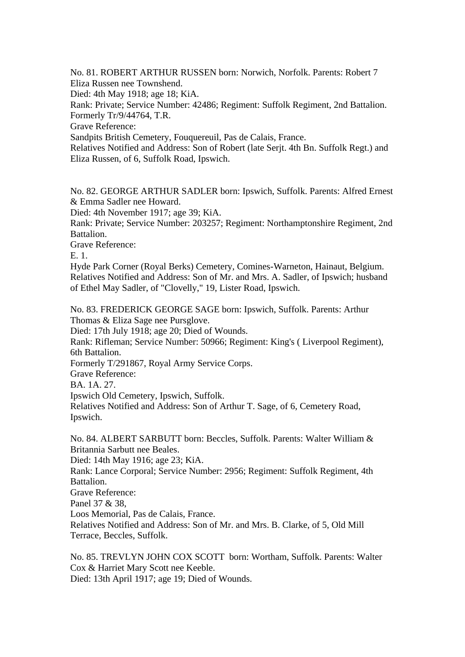No. 81. ROBERT ARTHUR RUSSEN born: Norwich, Norfolk. Parents: Robert 7 Eliza Russen nee Townshend.

Died: 4th May 1918; age 18; KiA.

Rank: Private; Service Number: 42486; Regiment: Suffolk Regiment, 2nd Battalion. Formerly Tr/9/44764, T.R.

Grave Reference:

Sandpits British Cemetery, Fouquereuil, Pas de Calais, France.

Relatives Notified and Address: Son of Robert (late Serjt. 4th Bn. Suffolk Regt.) and Eliza Russen, of 6, Suffolk Road, Ipswich.

No. 82. GEORGE ARTHUR SADLER born: Ipswich, Suffolk. Parents: Alfred Ernest & Emma Sadler nee Howard.

Died: 4th November 1917; age 39; KiA.

Rank: Private; Service Number: 203257; Regiment: Northamptonshire Regiment, 2nd Battalion.

Grave Reference:

E. 1.

Hyde Park Corner (Royal Berks) Cemetery, Comines-Warneton, Hainaut, Belgium. Relatives Notified and Address: Son of Mr. and Mrs. A. Sadler, of Ipswich; husband of Ethel May Sadler, of "Clovelly," 19, Lister Road, Ipswich.

No. 83. FREDERICK GEORGE SAGE born: Ipswich, Suffolk. Parents: Arthur Thomas & Eliza Sage nee Pursglove.

Died: 17th July 1918; age 20; Died of Wounds.

Rank: Rifleman; Service Number: 50966; Regiment: King's ( Liverpool Regiment), 6th Battalion.

Formerly T/291867, Royal Army Service Corps.

Grave Reference:

BA. 1A. 27.

Ipswich Old Cemetery, Ipswich, Suffolk.

Relatives Notified and Address: Son of Arthur T. Sage, of 6, Cemetery Road, Ipswich.

No. 84. ALBERT SARBUTT born: Beccles, Suffolk. Parents: Walter William & Britannia Sarbutt nee Beales.

Died: 14th May 1916; age 23; KiA.

Rank: Lance Corporal; Service Number: 2956; Regiment: Suffolk Regiment, 4th Battalion.

Grave Reference:

Panel 37 & 38,

Loos Memorial, Pas de Calais, France.

Relatives Notified and Address: Son of Mr. and Mrs. B. Clarke, of 5, Old Mill Terrace, Beccles, Suffolk.

No. 85. TREVLYN JOHN COX SCOTT born: Wortham, Suffolk. Parents: Walter Cox & Harriet Mary Scott nee Keeble. Died: 13th April 1917; age 19; Died of Wounds.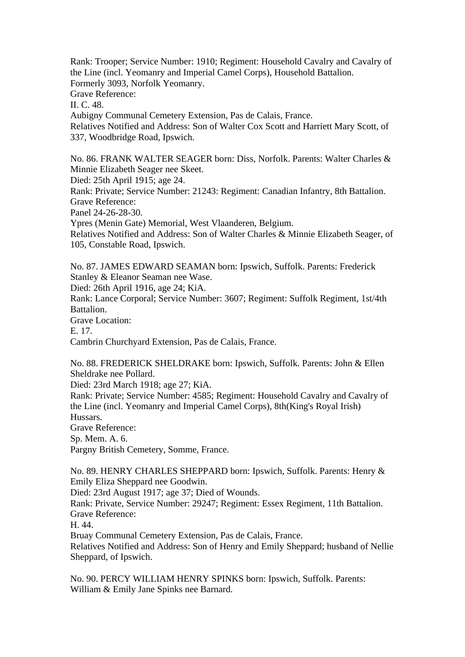Rank: Trooper; Service Number: 1910; Regiment: Household Cavalry and Cavalry of the Line (incl. Yeomanry and Imperial Camel Corps), Household Battalion. Formerly 3093, Norfolk Yeomanry. Grave Reference: II. C. 48. Aubigny Communal Cemetery Extension, Pas de Calais, France. Relatives Notified and Address: Son of Walter Cox Scott and Harriett Mary Scott, of 337, Woodbridge Road, Ipswich.

No. 86. FRANK WALTER SEAGER born: Diss, Norfolk. Parents: Walter Charles & Minnie Elizabeth Seager nee Skeet. Died: 25th April 1915; age 24. Rank: Private; Service Number: 21243: Regiment: Canadian Infantry, 8th Battalion. Grave Reference: Panel 24-26-28-30. Ypres (Menin Gate) Memorial, West Vlaanderen, Belgium. Relatives Notified and Address: Son of Walter Charles & Minnie Elizabeth Seager, of 105, Constable Road, Ipswich.

No. 87. JAMES EDWARD SEAMAN born: Ipswich, Suffolk. Parents: Frederick Stanley & Eleanor Seaman nee Wase.

Died: 26th April 1916, age 24; KiA.

Rank: Lance Corporal; Service Number: 3607; Regiment: Suffolk Regiment, 1st/4th Battalion.

Grave Location:

E. 17.

Cambrin Churchyard Extension, Pas de Calais, France.

No. 88. FREDERICK SHELDRAKE born: Ipswich, Suffolk. Parents: John & Ellen Sheldrake nee Pollard.

Died: 23rd March 1918; age 27; KiA.

Rank: Private; Service Number: 4585; Regiment: Household Cavalry and Cavalry of the Line (incl. Yeomanry and Imperial Camel Corps), 8th(King's Royal Irish) Hussars.

Grave Reference:

Sp. Mem. A. 6.

Pargny British Cemetery, Somme, France.

No. 89. HENRY CHARLES SHEPPARD born: Ipswich, Suffolk. Parents: Henry & Emily Eliza Sheppard nee Goodwin.

Died: 23rd August 1917; age 37; Died of Wounds.

Rank: Private, Service Number: 29247; Regiment: Essex Regiment, 11th Battalion. Grave Reference:

H. 44.

Bruay Communal Cemetery Extension, Pas de Calais, France.

Relatives Notified and Address: Son of Henry and Emily Sheppard; husband of Nellie Sheppard, of Ipswich.

No. 90. PERCY WILLIAM HENRY SPINKS born: Ipswich, Suffolk. Parents: William & Emily Jane Spinks nee Barnard.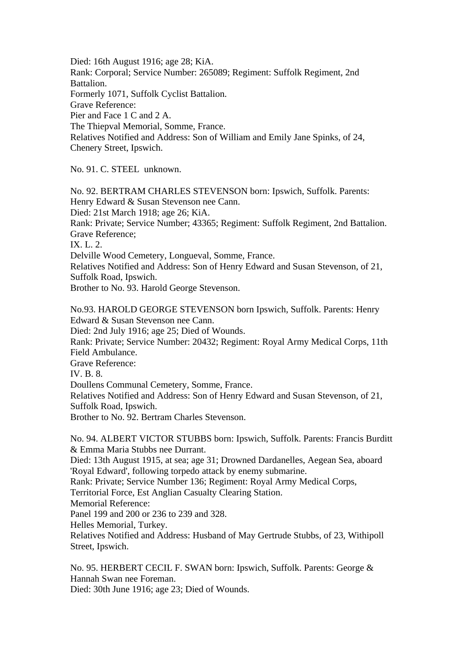Died: 16th August 1916; age 28; KiA. Rank: Corporal; Service Number: 265089; Regiment: Suffolk Regiment, 2nd Battalion. Formerly 1071, Suffolk Cyclist Battalion. Grave Reference: Pier and Face 1 C and 2 A. The Thiepval Memorial, Somme, France. Relatives Notified and Address: Son of William and Emily Jane Spinks, of 24, Chenery Street, Ipswich.

No. 91. C. STEEL unknown.

No. 92. BERTRAM CHARLES STEVENSON born: Ipswich, Suffolk. Parents: Henry Edward & Susan Stevenson nee Cann. Died: 21st March 1918; age 26; KiA. Rank: Private; Service Number; 43365; Regiment: Suffolk Regiment, 2nd Battalion. Grave Reference; IX. L. 2. Delville Wood Cemetery, Longueval, Somme, France. Relatives Notified and Address: Son of Henry Edward and Susan Stevenson, of 21, Suffolk Road, Ipswich. Brother to No. 93. Harold George Stevenson.

No.93. HAROLD GEORGE STEVENSON born Ipswich, Suffolk. Parents: Henry Edward & Susan Stevenson nee Cann. Died: 2nd July 1916; age 25; Died of Wounds. Rank: Private; Service Number: 20432; Regiment: Royal Army Medical Corps, 11th Field Ambulance. Grave Reference: IV. B. 8. Doullens Communal Cemetery, Somme, France. Relatives Notified and Address: Son of Henry Edward and Susan Stevenson, of 21, Suffolk Road, Ipswich. Brother to No. 92. Bertram Charles Stevenson.

No. 94. ALBERT VICTOR STUBBS born: Ipswich, Suffolk. Parents: Francis Burditt & Emma Maria Stubbs nee Durrant.

Died: 13th August 1915, at sea; age 31; Drowned Dardanelles, Aegean Sea, aboard 'Royal Edward', following torpedo attack by enemy submarine.

Rank: Private; Service Number 136; Regiment: Royal Army Medical Corps,

Territorial Force, Est Anglian Casualty Clearing Station.

Memorial Reference:

Panel 199 and 200 or 236 to 239 and 328.

Helles Memorial, Turkey.

Relatives Notified and Address: Husband of May Gertrude Stubbs, of 23, Withipoll Street, Ipswich.

No. 95. HERBERT CECIL F. SWAN born: Ipswich, Suffolk. Parents: George & Hannah Swan nee Foreman.

Died: 30th June 1916; age 23; Died of Wounds.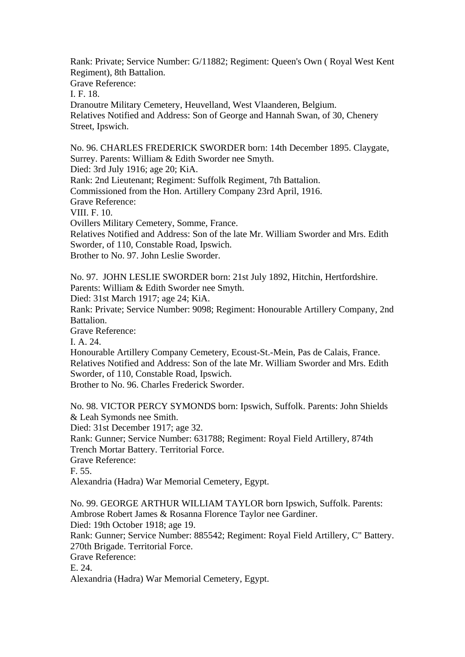Rank: Private; Service Number: G/11882; Regiment: Queen's Own ( Royal West Kent Regiment), 8th Battalion.

Grave Reference:

I. F. 18.

Dranoutre Military Cemetery, Heuvelland, West Vlaanderen, Belgium. Relatives Notified and Address: Son of George and Hannah Swan, of 30, Chenery Street, Ipswich.

No. 96. CHARLES FREDERICK SWORDER born: 14th December 1895. Claygate, Surrey. Parents: William & Edith Sworder nee Smyth.

Died: 3rd July 1916; age 20; KiA.

Rank: 2nd Lieutenant; Regiment: Suffolk Regiment, 7th Battalion.

Commissioned from the Hon. Artillery Company 23rd April, 1916.

Grave Reference:

VIII. F. 10.

Ovillers Military Cemetery, Somme, France.

Relatives Notified and Address: Son of the late Mr. William Sworder and Mrs. Edith Sworder, of 110, Constable Road, Ipswich.

Brother to No. 97. John Leslie Sworder.

No. 97. JOHN LESLIE SWORDER born: 21st July 1892, Hitchin, Hertfordshire. Parents: William & Edith Sworder nee Smyth.

Died: 31st March 1917; age 24; KiA.

Rank: Private; Service Number: 9098; Regiment: Honourable Artillery Company, 2nd Battalion.

Grave Reference:

I. A. 24.

Honourable Artillery Company Cemetery, Ecoust-St.-Mein, Pas de Calais, France. Relatives Notified and Address: Son of the late Mr. William Sworder and Mrs. Edith Sworder, of 110, Constable Road, Ipswich.

Brother to No. 96. Charles Frederick Sworder.

No. 98. VICTOR PERCY SYMONDS born: Ipswich, Suffolk. Parents: John Shields & Leah Symonds nee Smith.

Died: 31st December 1917; age 32.

Rank: Gunner; Service Number: 631788; Regiment: Royal Field Artillery, 874th Trench Mortar Battery. Territorial Force.

Grave Reference:

F. 55.

Alexandria (Hadra) War Memorial Cemetery, Egypt.

No. 99. GEORGE ARTHUR WILLIAM TAYLOR born Ipswich, Suffolk. Parents: Ambrose Robert James & Rosanna Florence Taylor nee Gardiner. Died: 19th October 1918; age 19.

Rank: Gunner; Service Number: 885542; Regiment: Royal Field Artillery, C" Battery. 270th Brigade. Territorial Force.

Grave Reference:

E. 24.

Alexandria (Hadra) War Memorial Cemetery, Egypt.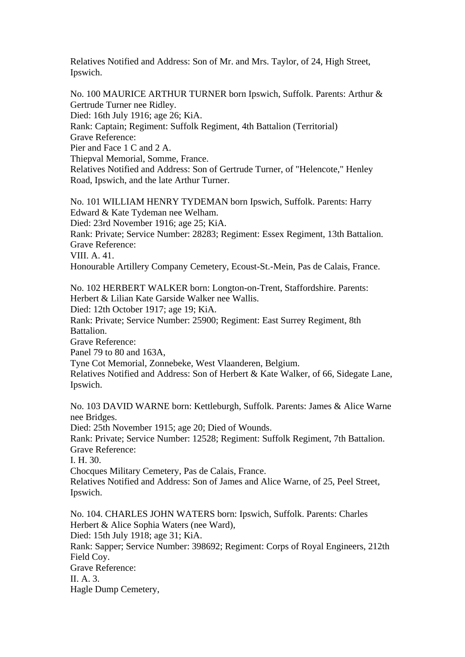Relatives Notified and Address: Son of Mr. and Mrs. Taylor, of 24, High Street, Ipswich.

No. 100 MAURICE ARTHUR TURNER born Ipswich, Suffolk. Parents: Arthur & Gertrude Turner nee Ridley. Died: 16th July 1916; age 26; KiA. Rank: Captain; Regiment: Suffolk Regiment, 4th Battalion (Territorial) Grave Reference: Pier and Face 1 C and 2 A. Thiepval Memorial, Somme, France. Relatives Notified and Address: Son of Gertrude Turner, of "Helencote," Henley Road, Ipswich, and the late Arthur Turner.

No. 101 WILLIAM HENRY TYDEMAN born Ipswich, Suffolk. Parents: Harry Edward & Kate Tydeman nee Welham. Died: 23rd November 1916; age 25; KiA. Rank: Private; Service Number: 28283; Regiment: Essex Regiment, 13th Battalion. Grave Reference: VIII. A. 41. Honourable Artillery Company Cemetery, Ecoust-St.-Mein, Pas de Calais, France.

No. 102 HERBERT WALKER born: Longton-on-Trent, Staffordshire. Parents: Herbert & Lilian Kate Garside Walker nee Wallis. Died: 12th October 1917; age 19; KiA.

Rank: Private; Service Number: 25900; Regiment: East Surrey Regiment, 8th Battalion.

Grave Reference:

Panel 79 to 80 and 163A,

Tyne Cot Memorial, Zonnebeke, West Vlaanderen, Belgium.

Relatives Notified and Address: Son of Herbert & Kate Walker, of 66, Sidegate Lane, Ipswich.

No. 103 DAVID WARNE born: Kettleburgh, Suffolk. Parents: James & Alice Warne nee Bridges.

Died: 25th November 1915; age 20; Died of Wounds.

Rank: Private; Service Number: 12528; Regiment: Suffolk Regiment, 7th Battalion. Grave Reference:

I. H. 30.

Chocques Military Cemetery, Pas de Calais, France.

Relatives Notified and Address: Son of James and Alice Warne, of 25, Peel Street, Ipswich.

No. 104. CHARLES JOHN WATERS born: Ipswich, Suffolk. Parents: Charles Herbert & Alice Sophia Waters (nee Ward), Died: 15th July 1918; age 31; KiA. Rank: Sapper; Service Number: 398692; Regiment: Corps of Royal Engineers, 212th Field Coy. Grave Reference: II. A.  $3$ .

Hagle Dump Cemetery,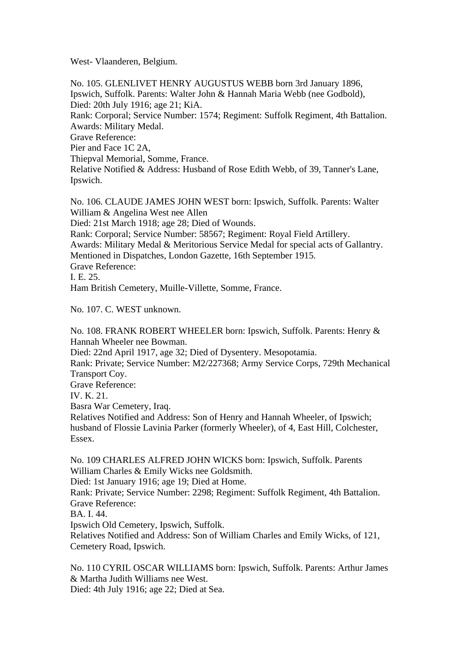West- Vlaanderen, Belgium.

No. 105. GLENLIVET HENRY AUGUSTUS WEBB born 3rd January 1896, Ipswich, Suffolk. Parents: Walter John & Hannah Maria Webb (nee Godbold), Died: 20th July 1916; age 21; KiA. Rank: Corporal; Service Number: 1574; Regiment: Suffolk Regiment, 4th Battalion. Awards: Military Medal. Grave Reference: Pier and Face 1C 2A, Thiepval Memorial, Somme, France. Relative Notified & Address: Husband of Rose Edith Webb, of 39, Tanner's Lane, Ipswich.

No. 106. CLAUDE JAMES JOHN WEST born: Ipswich, Suffolk. Parents: Walter William & Angelina West nee Allen Died: 21st March 1918; age 28; Died of Wounds. Rank: Corporal; Service Number: 58567; Regiment: Royal Field Artillery. Awards: Military Medal & Meritorious Service Medal for special acts of Gallantry. Mentioned in Dispatches, London Gazette, 16th September 1915. Grave Reference: I. E. 25. Ham British Cemetery, Muille-Villette, Somme, France.

No. 107. C. WEST unknown.

No. 108. FRANK ROBERT WHEELER born: Ipswich, Suffolk. Parents: Henry & Hannah Wheeler nee Bowman.

Died: 22nd April 1917, age 32; Died of Dysentery. Mesopotamia.

Rank: Private; Service Number: M2/227368; Army Service Corps, 729th Mechanical Transport Coy.

Grave Reference:

IV. K. 21.

Basra War Cemetery, Iraq.

Relatives Notified and Address: Son of Henry and Hannah Wheeler, of Ipswich; husband of Flossie Lavinia Parker (formerly Wheeler), of 4, East Hill, Colchester, Essex.

No. 109 CHARLES ALFRED JOHN WICKS born: Ipswich, Suffolk. Parents William Charles & Emily Wicks nee Goldsmith.

Died: 1st January 1916; age 19; Died at Home.

Rank: Private; Service Number: 2298; Regiment: Suffolk Regiment, 4th Battalion. Grave Reference:

BA. I. 44.

Ipswich Old Cemetery, Ipswich, Suffolk.

Relatives Notified and Address: Son of William Charles and Emily Wicks, of 121, Cemetery Road, Ipswich.

No. 110 CYRIL OSCAR WILLIAMS born: Ipswich, Suffolk. Parents: Arthur James & Martha Judith Williams nee West.

Died: 4th July 1916; age 22; Died at Sea.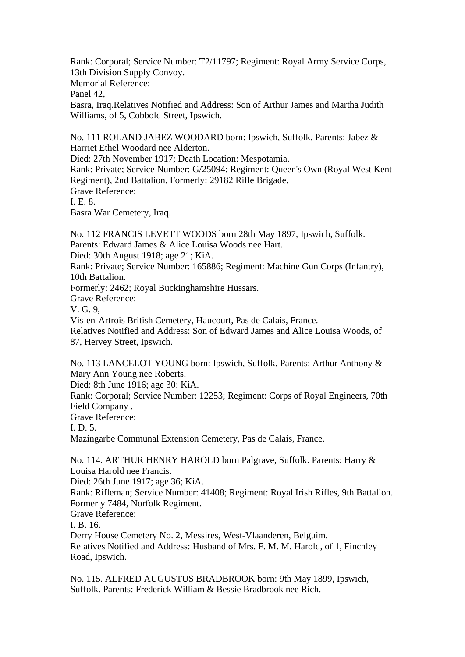Rank: Corporal; Service Number: T2/11797; Regiment: Royal Army Service Corps, 13th Division Supply Convoy. Memorial Reference: Panel 42, Basra, Iraq.Relatives Notified and Address: Son of Arthur James and Martha Judith Williams, of 5, Cobbold Street, Ipswich.

No. 111 ROLAND JABEZ WOODARD born: Ipswich, Suffolk. Parents: Jabez & Harriet Ethel Woodard nee Alderton. Died: 27th November 1917; Death Location: Mespotamia. Rank: Private; Service Number: G/25094; Regiment: Queen's Own (Royal West Kent Regiment), 2nd Battalion. Formerly: 29182 Rifle Brigade. Grave Reference: I. E. 8. Basra War Cemetery, Iraq.

No. 112 FRANCIS LEVETT WOODS born 28th May 1897, Ipswich, Suffolk. Parents: Edward James & Alice Louisa Woods nee Hart. Died: 30th August 1918; age 21; KiA. Rank: Private; Service Number: 165886; Regiment: Machine Gun Corps (Infantry), 10th Battalion. Formerly: 2462; Royal Buckinghamshire Hussars. Grave Reference: V. G. 9, Vis-en-Artrois British Cemetery, Haucourt, Pas de Calais, France. Relatives Notified and Address: Son of Edward James and Alice Louisa Woods, of 87, Hervey Street, Ipswich.

No. 113 LANCELOT YOUNG born: Ipswich, Suffolk. Parents: Arthur Anthony & Mary Ann Young nee Roberts.

Died: 8th June 1916; age 30; KiA.

Rank: Corporal; Service Number: 12253; Regiment: Corps of Royal Engineers, 70th Field Company .

Grave Reference:

I. D. 5.

Mazingarbe Communal Extension Cemetery, Pas de Calais, France.

No. 114. ARTHUR HENRY HAROLD born Palgrave, Suffolk. Parents: Harry & Louisa Harold nee Francis.

Died: 26th June 1917; age 36; KiA.

Rank: Rifleman; Service Number: 41408; Regiment: Royal Irish Rifles, 9th Battalion. Formerly 7484, Norfolk Regiment.

Grave Reference:

I. B. 16.

Derry House Cemetery No. 2, Messires, West-Vlaanderen, Belguim. Relatives Notified and Address: Husband of Mrs. F. M. M. Harold, of 1, Finchley Road, Ipswich.

No. 115. ALFRED AUGUSTUS BRADBROOK born: 9th May 1899, Ipswich, Suffolk. Parents: Frederick William & Bessie Bradbrook nee Rich.